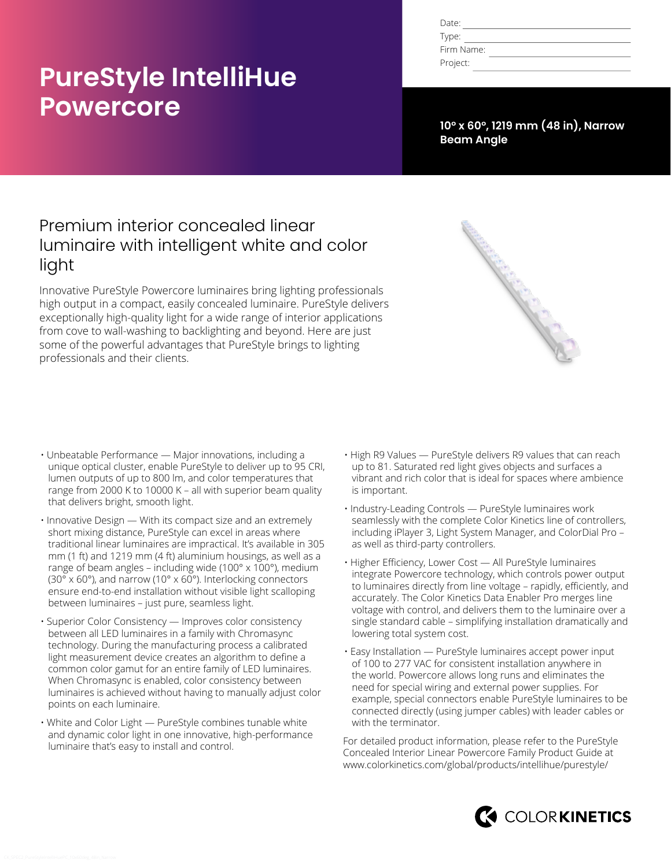# **PureStyle IntelliHue Powercore**

| Date:      |  |
|------------|--|
| Type:      |  |
| Firm Name: |  |
| Project:   |  |

**10° x 60°, 1219 mm (48 in), Narrow Beam Angle**

# Premium interior concealed linear luminaire with intelligent white and color light

Innovative PureStyle Powercore luminaires bring lighting professionals high output in a compact, easily concealed luminaire. PureStyle delivers exceptionally high-quality light for a wide range of interior applications from cove to wall-washing to backlighting and beyond. Here are just some of the powerful advantages that PureStyle brings to lighting professionals and their clients.



- Unbeatable Performance Major innovations, including a unique optical cluster, enable PureStyle to deliver up to 95 CRI, lumen outputs of up to 800 lm, and color temperatures that range from 2000 K to 10000 K – all with superior beam quality that delivers bright, smooth light.
- Innovative Design With its compact size and an extremely short mixing distance, PureStyle can excel in areas where traditional linear luminaires are impractical. It's available in 305 mm (1 ft) and 1219 mm (4 ft) aluminium housings, as well as a range of beam angles – including wide (100° x 100°), medium (30° x 60°), and narrow (10° x 60°). Interlocking connectors ensure end-to-end installation without visible light scalloping between luminaires – just pure, seamless light.
- Superior Color Consistency Improves color consistency between all LED luminaires in a family with Chromasync technology. During the manufacturing process a calibrated light measurement device creates an algorithm to define a common color gamut for an entire family of LED luminaires. When Chromasync is enabled, color consistency between luminaires is achieved without having to manually adjust color points on each luminaire.
- White and Color Light PureStyle combines tunable white and dynamic color light in one innovative, high-performance luminaire that's easy to install and control.
- High R9 Values PureStyle delivers R9 values that can reach up to 81. Saturated red light gives objects and surfaces a vibrant and rich color that is ideal for spaces where ambience is important.
- Industry-Leading Controls PureStyle luminaires work seamlessly with the complete Color Kinetics line of controllers, including iPlayer 3, Light System Manager, and ColorDial Pro – as well as third-party controllers.
- Higher Efficiency, Lower Cost All PureStyle luminaires integrate Powercore technology, which controls power output to luminaires directly from line voltage – rapidly, efficiently, and accurately. The Color Kinetics Data Enabler Pro merges line voltage with control, and delivers them to the luminaire over a single standard cable – simplifying installation dramatically and lowering total system cost.
- Easy Installation PureStyle luminaires accept power input of 100 to 277 VAC for consistent installation anywhere in the world. Powercore allows long runs and eliminates the need for special wiring and external power supplies. For example, special connectors enable PureStyle luminaires to be connected directly (using jumper cables) with leader cables or with the terminator.

For detailed product information, please refer to the PureStyle Concealed Interior Linear Powercore Family Product Guide at [www.colorkinetics.com/global/products/intellihue/purestyle/](http://www.colorkinetics.com/global/products/intellihue/purestyle/)

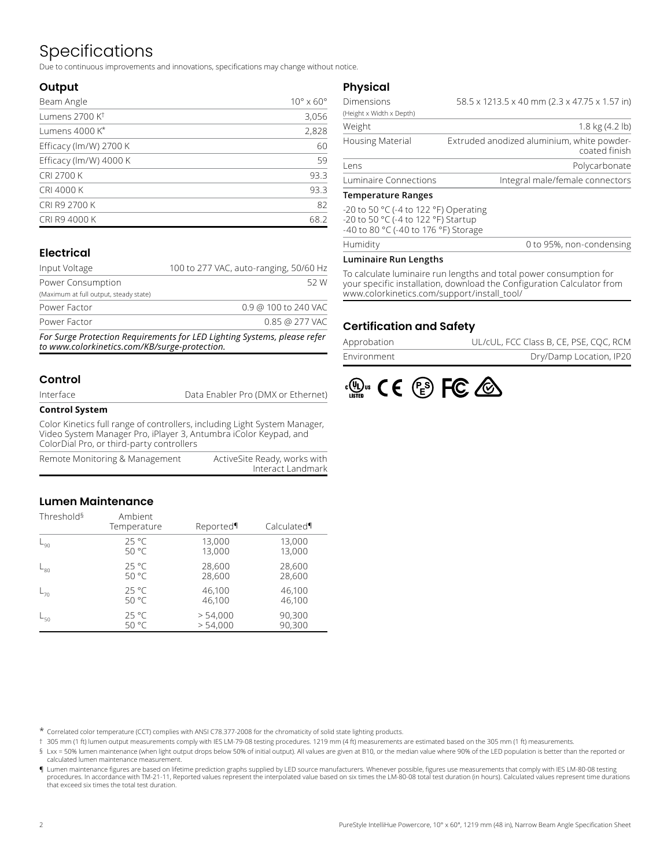# Specifications

Due to continuous improvements and innovations, specifications may change without notice.

### **Output**

| Beam Angle                 | $10^{\circ} \times 60^{\circ}$ |
|----------------------------|--------------------------------|
| Lumens 2700 K <sup>t</sup> | 3,056                          |
| Lumens 4000 K*             | 2,828                          |
| Efficacy (lm/W) 2700 K     | 60                             |
| Efficacy (lm/W) 4000 K     | 59                             |
| <b>CRI 2700 K</b>          | 93.3                           |
| CRI 4000 K                 | 93.3                           |
| CRI R9 2700 K              | 82                             |
| CRI R9 4000 K              | 68.2                           |

## **Electrical**

| Input Voltage                          | 100 to 277 VAC, auto-ranging, 50/60 Hz |                      |      |
|----------------------------------------|----------------------------------------|----------------------|------|
| Power Consumption                      |                                        |                      | 52 W |
| (Maximum at full output, steady state) |                                        |                      |      |
| Power Factor                           |                                        | 0.9 @ 100 to 240 VAC |      |
| Power Factor                           |                                        | 0.85 @ 277 VAC       |      |
|                                        |                                        |                      |      |

*For Surge Protection Requirements for LED Lighting Systems, please refer to www.colorkinetics.com/KB/surge-protection.*

### **Control**

Data Enabler Pro (DMX or Ethernet)

#### **Control System**

Color Kinetics full range of controllers, including Light System Manager, Video System Manager Pro, iPlayer 3, Antumbra iColor Keypad, and ColorDial Pro, or third-party controllers

| Remote Monitoring & Management | ActiveSite Ready, works with |
|--------------------------------|------------------------------|
|                                | Interact Landmark            |

### **Lumen Maintenance**

| Threshold <sup>§</sup> | Ambient<br>Temperature | Reported | Calculated¶ |
|------------------------|------------------------|----------|-------------|
| L <sub>90</sub>        | $25^{\circ}$ C         | 13,000   | 13,000      |
|                        | 50 °C                  | 13,000   | 13,000      |
| ∟ <sub>80</sub>        | $25^{\circ}$ C         | 28,600   | 28,600      |
|                        | 50 °C                  | 28,600   | 28,600      |
| $-70$                  | $25^{\circ}$ C         | 46,100   | 46,100      |
|                        | 50 °C                  | 46,100   | 46,100      |
| ∟ <sub>50</sub>        | $25^{\circ}$ C         | > 54,000 | 90,300      |
|                        | 50 °C                  | > 54,000 | 90,300      |

### **Physical**

| Temperature Ranges       |                                                             |
|--------------------------|-------------------------------------------------------------|
| Luminaire Connections    | Integral male/female connectors                             |
| Lens                     | Polycarbonate                                               |
| <b>Housing Material</b>  | Extruded anodized aluminium, white powder-<br>coated finish |
| Weight                   | $1.8 \text{ kg} (4.2 \text{ lb})$                           |
| (Height x Width x Depth) |                                                             |
| <b>Dimensions</b>        | 58.5 x 1213.5 x 40 mm (2.3 x 47.75 x 1.57 in)               |

#### **Temperature Ranges**

**Humidity** 

-20 to 50 °C (-4 to 122 °F) Operating -20 to 50 °C (-4 to 122 °F) Startup -40 to 80 °C (-40 to 176 °F) Storage

| 0 to 95%, non-condensing |
|--------------------------|
|--------------------------|

#### **Luminaire Run Lengths**

To calculate luminaire run lengths and total power consumption for your specific installation, download the Configuration Calculator from www.colorkinetics.com/support/install\_tool/

### **Certification and Safety**

| Approbation | UL/cUL, FCC Class B, CE, PSE, CQC, RCM |
|-------------|----------------------------------------|
| Environment | Dry/Damp Location, IP20                |



\* Correlated color temperature (CCT) complies with ANSI C78.377-2008 for the chromaticity of solid state lighting products.

† 305 mm (1 ft) lumen output measurements comply with IES LM-79-08 testing procedures. 1219 mm (4 ft) measurements are estimated based on the 305 mm (1 ft) measurements.

§ Lxx = 50% lumen maintenance (when light output drops below 50% of initial output). All values are given at B10, or the median value where 90% of the LED population is better than the reported or calculated lumen maintenance measurement.

¶ Lumen maintenance figures are based on lifetime prediction graphs supplied by LED source manufacturers. Whenever possible, figures use measurements that comply with IES LM-80-08 testing procedures. In accordance with TM-21-11, Reported values represent the interpolated value based on six times the LM-80-08 total test duration (in hours). Calculated values represent time durations that exceed six times the total test duration.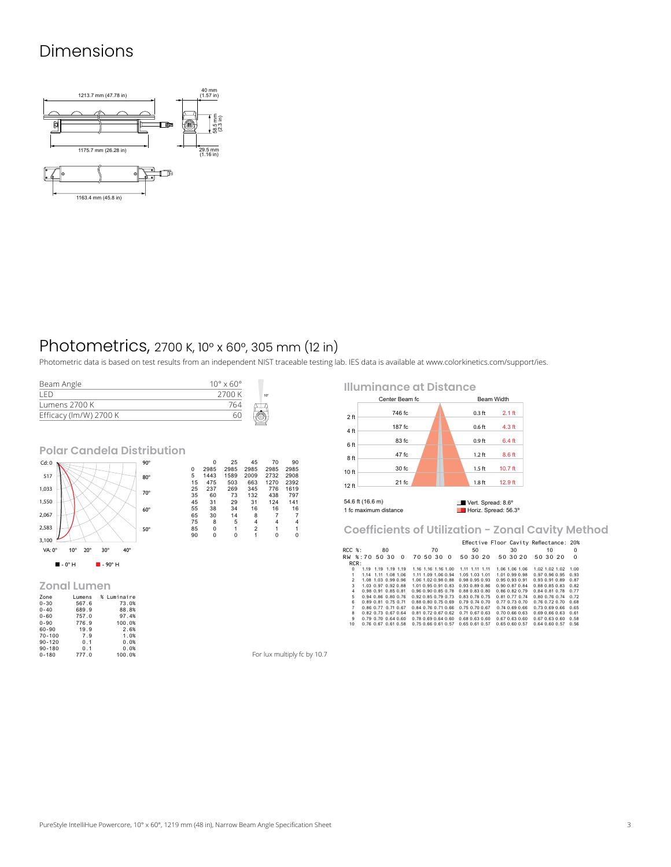# Dimensions



# Photometrics, 2700 K, 10° x 60°, 305 mm (12 in)

Photometric data is based on test results from an independent NIST traceable testing lab. IES data is available at [www.colorkinetics.com/support/ies.](http://www.colorkinetics.com/support/ies)

| Beam Angle             | $10^{\circ} \times 60^{\circ}$ |                 |
|------------------------|--------------------------------|-----------------|
| I FD                   | 2700 K                         | 10 <sup>o</sup> |
| Lumens 2700 K          | 764                            |                 |
| Efficacy (lm/W) 2700 K | 60                             |                 |

### **Polar Candela Distribution**



#### **Zonal Lumen**

| _____________ |        |             |
|---------------|--------|-------------|
| Zone          | Lumens | % Luminaire |
| $0 - 30$      | 567.6  | 73.0%       |
| $0 - 40$      | 689.9  | 88.8%       |
| $0 - 60$      | 757.0  | 97.4%       |
| $0 - 90$      | 776.9  | 100.0%      |
| 60-90         | 19.9   | 2.6%        |
| $70 - 100$    | 7.9    | 1.0%        |
| $90 - 120$    | 0.1    | 0.0%        |
| $90 - 180$    | 0.1    | 0.0%        |
| $0 - 180$     | 777.0  | 100.0%      |

 $\begin{array}{cccc} 0&26&45&70&90\\ 0&2985&2985&2985&2985\\ 5&1443&1589&2009&2732&2908\\ 15&475&503&663&1270&2392\\ 25&237&269&345&776&1619\\ 25&37&269&345&776&1619\\ 53&30&29&31&124&141\\ 55&38&34&16&16&16\\ 65&30&14&8&7&7&4\\ 65&50&1&2&1&1$ 

**Illuminance at Distance**

1 fc maximum distance

| Center Beam fc |           |                   | <b>Beam Width</b> |
|----------------|-----------|-------------------|-------------------|
| 2 <sub>f</sub> | 746 fc    | $0.3$ ft          | $2.1$ ft          |
| 4 ft           | 187 fc    | 0.6 <sub>ft</sub> | 4.3 ft            |
| 6 ft           | 83 fc     | 0.9 <sub>ft</sub> | 6.4 ft            |
|                | 47 fc     | $1.2$ ft          | 8.6 ft            |
| 8ft            | 30 fc     | $1.5$ ft          | $10.7$ ft         |
| 10 ft          | 21 fc     | 1.8 <sub>ft</sub> | 12.9 ft           |
| 12 ft          |           |                   |                   |
|                | --------- |                   |                   |

54.6 ft (16.6 m) Vert. Spread: 8.6°<br>1 fc maximum distance Noriz. Spread: 56.3°

**Coefficients of Utilization - Zonal Cavity Method**

|                |  |  |                             |    |                     |  |                     |    |                                    |                      |          | Effective Floor Cavity Reflectance: 20% |                      |                      |    |                             |          |
|----------------|--|--|-----------------------------|----|---------------------|--|---------------------|----|------------------------------------|----------------------|----------|-----------------------------------------|----------------------|----------------------|----|-----------------------------|----------|
| $RCC$ %:       |  |  |                             | 80 |                     |  |                     | 70 |                                    |                      | 50       |                                         | 30                   |                      | 10 |                             | $\Omega$ |
| RW %:70 50 30  |  |  |                             |    | $\Omega$            |  | 70 50 30            |    | $\Omega$                           |                      | 50 30 20 |                                         | 50 30 20             | 50 30 20             |    |                             | $\Omega$ |
| RCR:           |  |  |                             |    |                     |  |                     |    |                                    |                      |          |                                         |                      |                      |    |                             |          |
| $\Omega$       |  |  | 1.19 1.19 1.19 1.19         |    |                     |  | 1.16 1.16 1.16 1.00 |    |                                    | 1.11 1.11 1.11       |          |                                         | 1.06 1.06 1.06       |                      |    | 1.02 1.02 1.02 1.00         |          |
| 1              |  |  | 1.14 1.11 1.08 1.06         |    |                     |  | 1.11 1.09 1.06 0.94 |    |                                    | 1.05 1.03 1.01       |          |                                         | 1.01.0.99.0.98       |                      |    | 0.97 0.96 0.95 0.93         |          |
| $\mathcal{P}$  |  |  | 1.08 1.03 0.99 0.96         |    |                     |  | 1.06 1.02 0.98 0.88 |    |                                    | 0.98 0.95 0.93       |          | 0.95 0.93 0.91                          |                      |                      |    | 0.93 0.91 0.89 0.87         |          |
| $\mathbf{3}$   |  |  | 1.03 0.97 0.92 0.88         |    |                     |  | 1.01 0.95 0.91 0.83 |    |                                    | 0.93 0.89 0.86       |          | 0.90 0.87 0.84                          |                      |                      |    | 0.88 0.85 0.83 0.82         |          |
| 4              |  |  | 0.98 0.91 0.85 0.81         |    |                     |  | 0.96 0.90 0.85 0.78 |    |                                    | 0.88 0.83 0.80       |          | 0.86 0.82 0.79                          |                      |                      |    | 0.84 0.81 0.78 0.77         |          |
| 5              |  |  | 0.94 0.86 0.80 0.76         |    |                     |  | 0.92 0.85 0.79 0.73 |    |                                    | 0.83 0.78 0.75       |          | $0.81$ $0.77$ $0.74$                    |                      |                      |    | 0.80 0.76 0.74 0.72         |          |
| 6              |  |  | 0.89 0.81 0.75 0.71         |    |                     |  | 0.88 0.80 0.75 0.69 |    |                                    | $0.79$ $0.74$ $0.70$ |          | 0.77 0.73 0.70                          |                      |                      |    | $0.76$ $0.72$ $0.70$ $0.68$ |          |
| $\overline{7}$ |  |  | 0.86 0.77 0.71 0.67         |    |                     |  | 0.84 0.76 0.71 0.66 |    |                                    | 0.75 0.70 0.67       |          |                                         | 0.74 0.69 0.66       |                      |    | 0.73 0.69 0.66 0.65         |          |
| 8              |  |  | 0.82 0.73 0.67 0.64         |    |                     |  | 0.81 0.72 0.67 0.62 |    |                                    | $0.71$ $0.67$ $0.63$ |          |                                         | $0.70$ $0.66$ $0.63$ |                      |    | 0.69 0.66 0.63 0.61         |          |
| 9              |  |  | $0.79$ $0.70$ $0.64$ $0.60$ |    |                     |  | 0.78 0.69 0.64 0.60 |    |                                    | 0.68 0.63 0.60       |          |                                         | 0.67 0.63 0.60       | $0.67$ $0.63$ $0.60$ |    |                             | 0.58     |
| 10             |  |  |                             |    | 0.76 0.67 0.61 0.58 |  |                     |    | 0.75 0.66 0.61 0.57 0.65 0.61 0.57 |                      |          | 0.65 0.60 0.57                          |                      |                      |    | 0.64 0.60 0.57 0.56         |          |

For lux multiply fc by 10.7